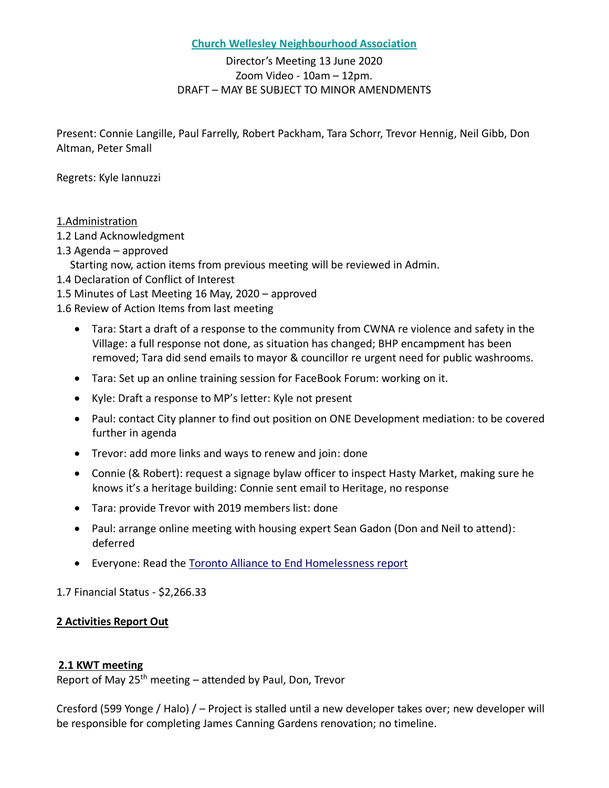#### **Church Wellesley Neighbourhood Association**

# Director's Meeting 13 June 2020 Zoom Video - 10am – 12pm. DRAFT – MAY BE SUBJECT TO MINOR AMENDMENTS

Present: Connie Langille, Paul Farrelly, Robert Packham, Tara Schorr, Trevor Hennig, Neil Gibb, Don Altman, Peter Small

Regrets: Kyle Iannuzzi

### 1.Administration

- 1.2 Land Acknowledgment
- 1.3 Agenda approved

Starting now, action items from previous meeting will be reviewed in Admin.

- 1.4 Declaration of Conflict of Interest
- 1.5 Minutes of Last Meeting 16 May, 2020 approved
- 1.6 Review of Action Items from last meeting
	- Tara: Start a draft of a response to the community from CWNA re violence and safety in the Village: a full response not done, as situation has changed; BHP encampment has been removed; Tara did send emails to mayor & councillor re urgent need for public washrooms.
	- Tara: Set up an online training session for FaceBook Forum: working on it.
	- Kyle: Draft a response to MP's letter: Kyle not present
	- Paul: contact City planner to find out position on ONE Development mediation: to be covered further in agenda
	- Trevor: add more links and ways to renew and join: done
	- Connie (& Robert): request a signage bylaw officer to inspect Hasty Market, making sure he knows it's a heritage building: Connie sent email to Heritage, no response
	- Tara: provide Trevor with 2019 members list: done
	- Paul: arrange online meeting with housing expert Sean Gadon (Don and Neil to attend): deferred
	- Everyone: Read the [Toronto Alliance to End Homelessness report](https://static1.squarespace.com/static/56c4a231d51cd428ca552a3a/t/5d3a2cd8f79ba40001a5235f/1564093658506/TAEH+submission+HousingTO+-+Final+-+July+19%2C+2019.pdf)

1.7 Financial Status - \$2,266.33

# **2 Activities Report Out**

### **2.1 KWT meeting**

Report of May 25<sup>th</sup> meeting – attended by Paul, Don, Trevor

Cresford (599 Yonge / Halo) / – Project is stalled until a new developer takes over; new developer will be responsible for completing James Canning Gardens renovation; no timeline.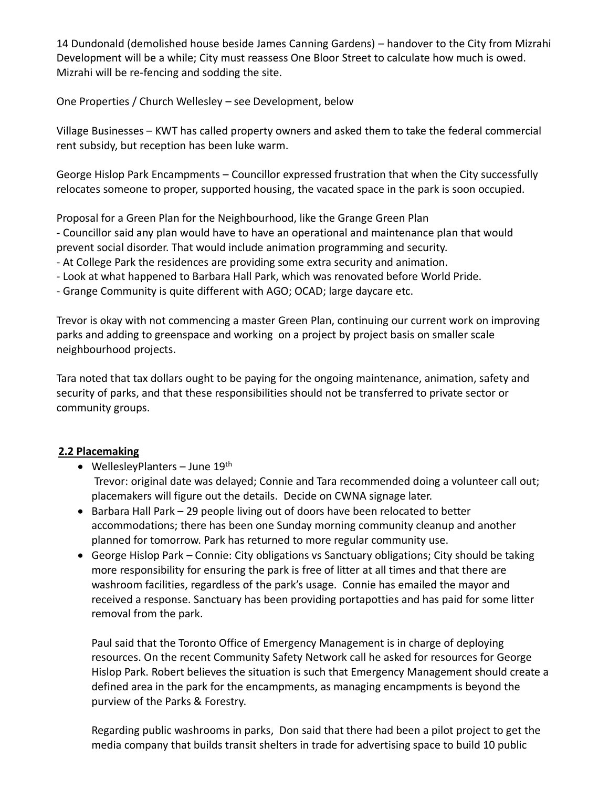14 Dundonald (demolished house beside James Canning Gardens) – handover to the City from Mizrahi Development will be a while; City must reassess One Bloor Street to calculate how much is owed. Mizrahi will be re-fencing and sodding the site.

One Properties / Church Wellesley – see Development, below

Village Businesses – KWT has called property owners and asked them to take the federal commercial rent subsidy, but reception has been luke warm.

George Hislop Park Encampments – Councillor expressed frustration that when the City successfully relocates someone to proper, supported housing, the vacated space in the park is soon occupied.

Proposal for a Green Plan for the Neighbourhood, like the Grange Green Plan

- Councillor said any plan would have to have an operational and maintenance plan that would prevent social disorder. That would include animation programming and security.

- At College Park the residences are providing some extra security and animation.
- Look at what happened to Barbara Hall Park, which was renovated before World Pride.
- Grange Community is quite different with AGO; OCAD; large daycare etc.

Trevor is okay with not commencing a master Green Plan, continuing our current work on improving parks and adding to greenspace and working on a project by project basis on smaller scale neighbourhood projects.

Tara noted that tax dollars ought to be paying for the ongoing maintenance, animation, safety and security of parks, and that these responsibilities should not be transferred to private sector or community groups.

# **2.2 Placemaking**

- WellesleyPlanters June  $19<sup>th</sup>$ Trevor: original date was delayed; Connie and Tara recommended doing a volunteer call out; placemakers will figure out the details. Decide on CWNA signage later.
- Barbara Hall Park 29 people living out of doors have been relocated to better accommodations; there has been one Sunday morning community cleanup and another planned for tomorrow. Park has returned to more regular community use.
- George Hislop Park Connie: City obligations vs Sanctuary obligations; City should be taking more responsibility for ensuring the park is free of litter at all times and that there are washroom facilities, regardless of the park's usage. Connie has emailed the mayor and received a response. Sanctuary has been providing portapotties and has paid for some litter removal from the park.

Paul said that the Toronto Office of Emergency Management is in charge of deploying resources. On the recent Community Safety Network call he asked for resources for George Hislop Park. Robert believes the situation is such that Emergency Management should create a defined area in the park for the encampments, as managing encampments is beyond the purview of the Parks & Forestry.

Regarding public washrooms in parks, Don said that there had been a pilot project to get the media company that builds transit shelters in trade for advertising space to build 10 public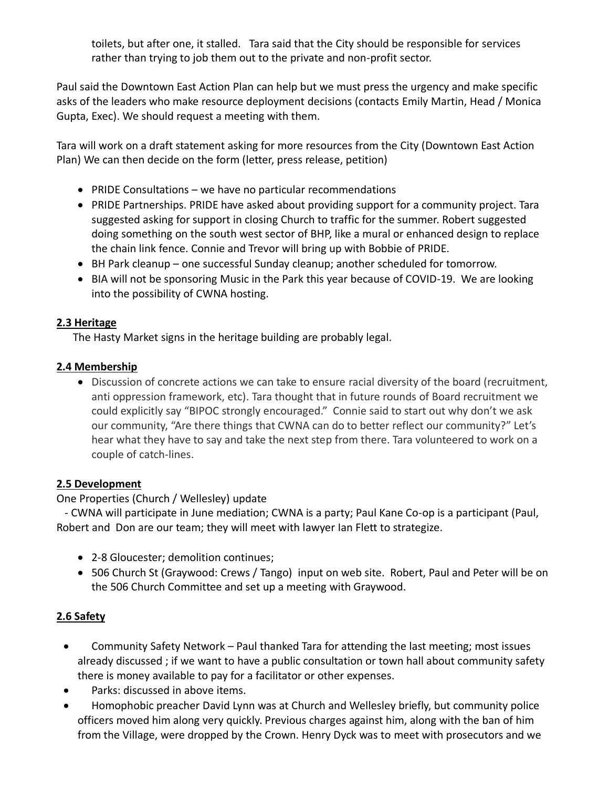toilets, but after one, it stalled. Tara said that the City should be responsible for services rather than trying to job them out to the private and non-profit sector.

Paul said the Downtown East Action Plan can help but we must press the urgency and make specific asks of the leaders who make resource deployment decisions (contacts Emily Martin, Head / Monica Gupta, Exec). We should request a meeting with them.

Tara will work on a draft statement asking for more resources from the City (Downtown East Action Plan) We can then decide on the form (letter, press release, petition)

- PRIDE Consultations we have no particular recommendations
- PRIDE Partnerships. PRIDE have asked about providing support for a community project. Tara suggested asking for support in closing Church to traffic for the summer. Robert suggested doing something on the south west sector of BHP, like a mural or enhanced design to replace the chain link fence. Connie and Trevor will bring up with Bobbie of PRIDE.
- BH Park cleanup one successful Sunday cleanup; another scheduled for tomorrow.
- BIA will not be sponsoring Music in the Park this year because of COVID-19. We are looking into the possibility of CWNA hosting.

### **2.3 Heritage**

The Hasty Market signs in the heritage building are probably legal.

### **2.4 Membership**

• Discussion of concrete actions we can take to ensure racial diversity of the board (recruitment, anti oppression framework, etc). Tara thought that in future rounds of Board recruitment we could explicitly say "BIPOC strongly encouraged." Connie said to start out why don't we ask our community, "Are there things that CWNA can do to better reflect our community?" Let's hear what they have to say and take the next step from there. Tara volunteered to work on a couple of catch-lines.

### **2.5 Development**

### One Properties (Church / Wellesley) update

 - CWNA will participate in June mediation; CWNA is a party; Paul Kane Co-op is a participant (Paul, Robert and Don are our team; they will meet with lawyer Ian Flett to strategize.

- 2-8 Gloucester; demolition continues;
- 506 Church St (Graywood: Crews / Tango) input on web site. Robert, Paul and Peter will be on the 506 Church Committee and set up a meeting with Graywood.

# **2.6 Safety**

- Community Safety Network Paul thanked Tara for attending the last meeting; most issues already discussed ; if we want to have a public consultation or town hall about community safety there is money available to pay for a facilitator or other expenses.
- Parks: discussed in above items.
- Homophobic preacher David Lynn was at Church and Wellesley briefly, but community police officers moved him along very quickly. Previous charges against him, along with the ban of him from the Village, were dropped by the Crown. Henry Dyck was to meet with prosecutors and we